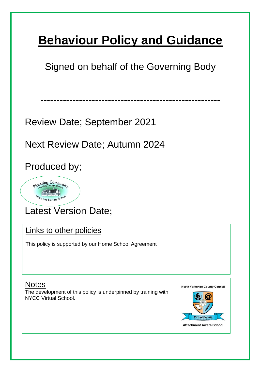# **Behaviour Policy and Guidance**

Signed on behalf of the Governing Body

--------------------------------------------------------

Review Date; September 2021

Next Review Date; Autumn 2024

Produced by;



Latest Version Date;

Links to other policies

This policy is supported by our Home School Agreement

Notes

The development of this policy is underpinned by training with NYCC Virtual School.

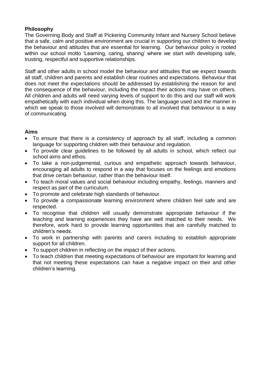# **Philosophy**

The Governing Body and Staff at Pickering Community Infant and Nursery School believe that a safe, calm and positive environment are crucial in supporting our children to develop the behaviour and attitudes that are essential for learning. Our behaviour policy is rooted within our school motto 'Learning, caring, sharing' where we start with developing safe, trusting, respectful and supportive relationships.

Staff and other adults in school model the behaviour and attitudes that we expect towards all staff, children and parents and establish clear routines and expectations. Behaviour that does not meet the expectations should be addressed by establishing the reason for and the consequence of the behaviour, including the impact their actions may have on others. All children and adults will need varying levels of support to do this and our staff will work empathetically with each individual when doing this. The language used and the manner in which we speak to those involved will demonstrate to all involved that behaviour is a way of communicating.

#### **Aims**

- To ensure that there is a consistency of approach by all staff, including a common language for supporting children with their behaviour and regulation.
- To provide clear guidelines to be followed by all adults in school, which reflect our school aims and ethos.
- To take a non-judgemental, curious and empathetic approach towards behaviour, encouraging all adults to respond in a way that focuses on the feelings and emotions that drive certain behaviour, rather than the behaviour itself.
- To teach moral values and social behaviour including empathy, feelings, manners and respect as part of the curriculum.
- To promote and celebrate high standards of behaviour.
- To provide a compassionate learning environment where children feel safe and are respected.
- To recognise that children will usually demonstrate appropriate behaviour if the teaching and learning experiences they have are well matched to their needs. We therefore, work hard to provide learning opportunities that are carefully matched to children's needs.
- To work in partnership with parents and carers including to establish appropriate support for all children.
- To support children in reflecting on the impact of their actions.
- To teach children that meeting expectations of behaviour are important for learning and that not meeting these expectations can have a negative impact on their and other children's learning.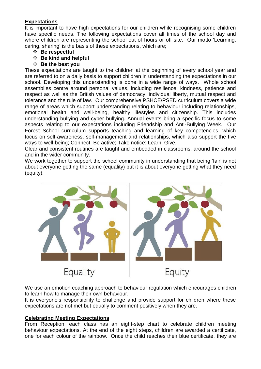# **Expectations**

It is important to have high expectations for our children while recognising some children have specific needs. The following expectations cover all times of the school day and where children are representing the school out of hours or off site. Our motto 'Learning, caring, sharing' is the basis of these expectations, which are;

- ❖ **Be respectful**
- ❖ **Be kind and helpful**
- ❖ **Be the best you**

These expectations are taught to the children at the beginning of every school year and are referred to on a daily basis to support children in understanding the expectations in our school. Developing this understanding is done in a wide range of ways. Whole school assemblies centre around personal values, including resilience, kindness, patience and respect as well as the British values of democracy, individual liberty, mutual respect and tolerance and the rule of law. Our comprehensive PSHCE/PSED curriculum covers a wide range of areas which support understanding relating to behaviour including relationships, emotional health and well-being, healthy lifestyles and citizenship. This includes understanding bullying and cyber bullying. Annual events bring a specific focus to some aspects relating to our expectations including Friendship and Anti-Bullying Week. Our Forest School curriculum supports teaching and learning of key competencies, which focus on self-awareness, self-management and relationships, which also support the five ways to well-being; Connect; Be active; Take notice; Learn; Give.

Clear and consistent routines are taught and embedded in classrooms, around the school and in the wider community.

We work together to support the school community in understanding that being 'fair' is not about everyone getting the same (equality) but it is about everyone getting what they need (equity).



We use an emotion coaching approach to behaviour regulation which encourages children to learn how to manage their own behaviour.

It is everyone's responsibility to challenge and provide support for children where these expectations are not met but equally to comment positively when they are.

#### **Celebrating Meeting Expectations**

From Reception, each class has an eight-step chart to celebrate children meeting behaviour expectations. At the end of the eight steps, children are awarded a certificate, one for each colour of the rainbow. Once the child reaches their blue certificate, they are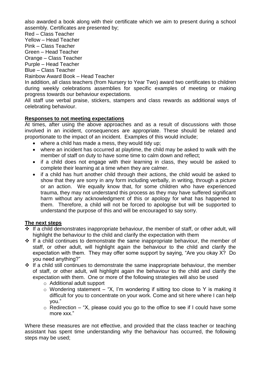also awarded a book along with their certificate which we aim to present during a school assembly. Certificates are presented by;

Red – Class Teacher

Yellow – Head Teacher

Pink – Class Teacher

Green – Head Teacher

Orange – Class Teacher

Purple – Head Teacher Blue – Class Teacher

Rainbow Award Book – Head Teacher

In addition, all class teachers (from Nursery to Year Two) award two certificates to children during weekly celebrations assemblies for specific examples of meeting or making progress towards our behaviour expectations.

All staff use verbal praise, stickers, stampers and class rewards as additional ways of celebrating behaviour.

# **Responses to not meeting expectations**

At times, after using the above approaches and as a result of discussions with those involved in an incident, consequences are appropriate. These should be related and proportionate to the impact of an incident. Examples of this would include;

- where a child has made a mess, they would tidy up;
- where an incident has occurred at playtime, the child may be asked to walk with the member of staff on duty to have some time to calm down and reflect;
- if a child does not engage with their learning in class, they would be asked to complete their learning at a time when they are calmer.
- if a child has hurt another child through their actions, the child would be asked to show that they are sorry in any form including verbally, in writing, through a picture or an action. We equally know that, for some children who have experienced trauma, they may not understand this process as they may have suffered significant harm without any acknowledgment of this or apology for what has happened to them. Therefore, a child will not be forced to apologise but will be supported to understand the purpose of this and will be encouraged to say sorry.

# **The next steps**

- ❖ If a child demonstrates inappropriate behaviour, the member of staff, or other adult, will highlight the behaviour to the child and clarify the expectation with them
- ❖ If a child continues to demonstrate the same inappropriate behaviour, the member of staff, or other adult, will highlight again the behaviour to the child and clarify the expectation with them. They may offer some support by saying, "Are you okay X? Do you need anything?"
- ❖ If a child still continues to demonstrate the same inappropriate behaviour, the member of staff, or other adult, will highlight again the behaviour to the child and clarify the expectation with them. One or more of the following strategies will also be used
	- o Additional adult support
	- $\circ$  Wondering statement "X, I'm wondering if sitting too close to Y is making it difficult for you to concentrate on your work. Come and sit here where I can help you."
	- $\circ$  Redirection "X, please could you go to the office to see if I could have some more xxx."

Where these measures are not effective, and provided that the class teacher or teaching assistant has spent time understanding why the behaviour has occurred, the following steps may be used;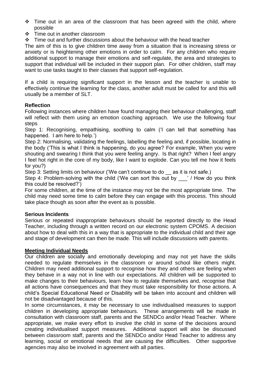- ❖ Time out in an area of the classroom that has been agreed with the child, where possible
- ❖ Time out in another classroom
- ❖ Time out and further discussions about the behaviour with the head teacher

The aim of this is to give children time away from a situation that is increasing stress or anxiety or is heightening other emotions in order to calm. For any children who require additional support to manage their emotions and self-regulate, the area and strategies to support that individual will be included in their support plan. For other children, staff may want to use tasks taught to their classes that support self-regulation.

If a child is requiring significant support in the lesson and the teacher is unable to effectively continue the learning for the class, another adult must be called for and this will usually be a member of SLT.

### **Reflection**

Following instances where children have found managing their behaviour challenging, staff will reflect with them using an emotion coaching approach. We use the following four steps

Step 1: Recognising, empathising, soothing to calm ('I can tell that something has happened. I am here to help.')

Step 2: Normalising, validating the feelings, labelling the feeling and, if possible, locating in the body ('This is what I think is happening, do you agree? For example, When you were shouting and swearing I think that you were feeling angry. Is that right? When I feel angry I feel hot right in the core of my body, like I want to explode. Can you tell me how it feels for you?)

Step 3: Setting limits on behaviour ('We can't continue to do as it is not safe.)

Step 4: Problem-solving with the child ('We can sort this out by  $\cdot$  ' / How do you think this could be resolved?')

For some children, at the time of the instance may not be the most appropriate time. The child may need some time to calm before they can engage with this process. This should take place though as soon after the event as is possible.

#### **Serious Incidents**

Serious or repeated inappropriate behaviours should be reported directly to the Head Teacher, including through a written record on our electronic system CPOMS. A decision about how to deal with this in a way that is appropriate to the individual child and their age and stage of development can then be made. This will include discussions with parents.

#### **Meeting Individual Needs**

Our children are socially and emotionally developing and may not yet have the skills needed to regulate themselves in the classroom or around school like others might. Children may need additional support to recognise how they and others are feeling when they behave in a way not in line with our expectations. All children will be supported to make changes to their behaviours, learn how to regulate themselves and, recognise that all actions have consequences and that they must take responsibility for those actions. A child's Special Educational Need or Disability will be taken into account and children will not be disadvantaged because of this.

In some circumstances, it may be necessary to use individualised measures to support children in developing appropriate behaviours. These arrangements will be made in consultation with classroom staff, parents and the SENDCo and/or Head Teacher. Where appropriate, we make every effort to involve the child in some of the decisions around creating individualised support measures. Additional support will also be discussed between classroom staff, parents and the SENDCo and/or Head Teacher to address any learning, social or emotional needs that are causing the difficulties. Other supportive agencies may also be involved in agreement with all parties.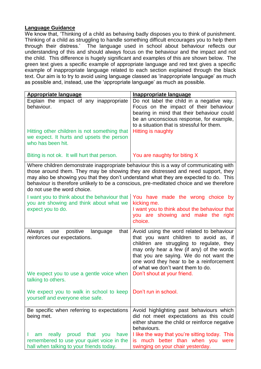#### **Language Guidance**

We know that, 'Thinking of a child as behaving badly disposes you to think of punishment. Thinking of a child as struggling to handle something difficult encourages you to help them through their distress.' The language used in school about behaviour reflects our understanding of this and should always focus on the behaviour and the impact and not the child. This difference is hugely significant and examples of this are shown below. The green text gives a specific example of appropriate language and red text gives a specific example of inappropriate language related to each section explained through the black text. Our aim is to try to avoid using language classed as 'inappropriate language' as much as possible and, instead, use the 'appropriate language' as much as possible.

| <b>Appropriate language</b>                                                                                                                                                                                                                                                                                                                                                                     | <b>Inappropriate language</b>                                                                                                                                                                                                                                                                             |
|-------------------------------------------------------------------------------------------------------------------------------------------------------------------------------------------------------------------------------------------------------------------------------------------------------------------------------------------------------------------------------------------------|-----------------------------------------------------------------------------------------------------------------------------------------------------------------------------------------------------------------------------------------------------------------------------------------------------------|
| Explain the impact of any inappropriate<br>behaviour.<br>Hitting other children is not something that<br>we expect. It hurts and upsets the person<br>who has been hit.                                                                                                                                                                                                                         | Do not label the child in a negative way.<br>Focus on the impact of their behaviour<br>bearing in mind that their behaviour could<br>be an unconscious response, for example,<br>to a situation that is stressful for them.<br><b>Hitting is naughty</b>                                                  |
| Biting is not ok. It will hurt that person.                                                                                                                                                                                                                                                                                                                                                     | You are naughty for biting X                                                                                                                                                                                                                                                                              |
| Where children demonstrate inappropriate behaviour this is a way of communicating with<br>those around them. They may be showing they are distressed and need support, they<br>may also be showing you that they don't understand what they are expected to do. This<br>behaviour is therefore unlikely to be a conscious, pre-meditated choice and we therefore<br>do not use the word choice. |                                                                                                                                                                                                                                                                                                           |
| I want you to think about the behaviour that<br>you are showing and think about what we<br>expect you to do.                                                                                                                                                                                                                                                                                    | You have made the wrong choice by<br>kicking me.<br>I want you to think about the behaviour that<br>you are showing and make the right<br>choice.                                                                                                                                                         |
| positive<br>language<br>Always<br>that<br>use<br>reinforces our expectations.                                                                                                                                                                                                                                                                                                                   | Avoid using the word related to behaviour<br>that you want children to avoid as, if<br>children are struggling to regulate, they<br>may only hear a few (if any) of the words<br>that you are saying. We do not want the<br>one word they hear to be a reinforcement<br>of what we don't want them to do. |
| We expect you to use a gentle voice when<br>talking to others.                                                                                                                                                                                                                                                                                                                                  | Don't shout at your friend.                                                                                                                                                                                                                                                                               |
| We expect you to walk in school to keep<br>yourself and everyone else safe.                                                                                                                                                                                                                                                                                                                     | Don't run in school.                                                                                                                                                                                                                                                                                      |
| Be specific when referring to expectations<br>being met.<br>really proud that you<br>have<br>am<br>remembered to use your quiet voice in the<br>hall when talking to your friends today.                                                                                                                                                                                                        | Avoid highlighting past behaviours which<br>did not meet expectations as this could<br>either shame the child or reinforce negative<br>behaviours.<br>I like the way that you're sitting today. This<br>is much better than when you were<br>swinging on your chair yesterday.                            |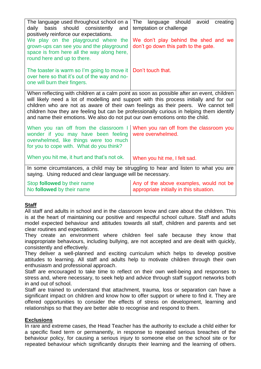| The language used throughout school on a<br>daily basis should consistently and<br>positively reinforce our expectations.<br>We play on the playground where the<br>grown-ups can see you and the playground<br>space is from here all the way along here,<br>round here and up to there.                                                                                                                                                               | The<br>language should<br>avoid<br>creating<br>temptation or challenge<br>We don't play behind the shed and we<br>don't go down this path to the gate. |  |
|---------------------------------------------------------------------------------------------------------------------------------------------------------------------------------------------------------------------------------------------------------------------------------------------------------------------------------------------------------------------------------------------------------------------------------------------------------|--------------------------------------------------------------------------------------------------------------------------------------------------------|--|
| The toaster is warm so I'm going to move it<br>over here so that it's out of the way and no-<br>one will burn their fingers.                                                                                                                                                                                                                                                                                                                            | Don't touch that.                                                                                                                                      |  |
| When reflecting with children at a calm point as soon as possible after an event, children<br>will likely need a lot of modelling and support with this process initially and for our<br>children who are not as aware of their own feelings as their peers. We cannot tell<br>children how they are feeling but can be professionally curious in helping them identify<br>and name their emotions. We also do not put our own emotions onto the child. |                                                                                                                                                        |  |
| When you ran off from the classroom I<br>wonder if you may have been feeling<br>overwhelmed, like things were too much<br>for you to cope with. What do you think?                                                                                                                                                                                                                                                                                      | When you ran off from the classroom you<br>were overwhelmed.                                                                                           |  |
| When you hit me, it hurt and that's not ok.                                                                                                                                                                                                                                                                                                                                                                                                             | When you hit me, I felt sad.                                                                                                                           |  |
| In some circumstances, a child may be struggling to hear and listen to what you are<br>saying. Using reduced and clear language will be necessary.                                                                                                                                                                                                                                                                                                      |                                                                                                                                                        |  |
| Stop followed by their name<br>No followed by their name                                                                                                                                                                                                                                                                                                                                                                                                | Any of the above examples, would not be<br>appropriate initially in this situation.                                                                    |  |

# **Staff**

All staff and adults in school and in the classroom know and care about the children. This is at the heart of maintaining our positive and respectful school culture. Staff and adults model expected behaviour and attitudes towards all staff, children and parents and set clear routines and expectations.

They create an environment where children feel safe because they know that inappropriate behaviours, including bullying, are not accepted and are dealt with quickly, consistently and effectively.

They deliver a well-planned and exciting curriculum which helps to develop positive attitudes to learning. All staff and adults help to motivate children through their own enthusiasm and professional approach.

Staff are encouraged to take time to reflect on their own well-being and responses to stress and, where necessary, to seek help and advice through staff support networks both in and out of school.

Staff are trained to understand that attachment, trauma, loss or separation can have a significant impact on children and know how to offer support or where to find it. They are offered opportunities to consider the effects of stress on development, learning and relationships so that they are better able to recognise and respond to them.

#### **Exclusions**

In rare and extreme cases, the Head Teacher has the authority to exclude a child either for a specific fixed term or permanently, in response to repeated serious breaches of the behaviour policy, for causing a serious injury to someone else on the school site or for repeated behaviour which significantly disrupts their learning and the learning of others.